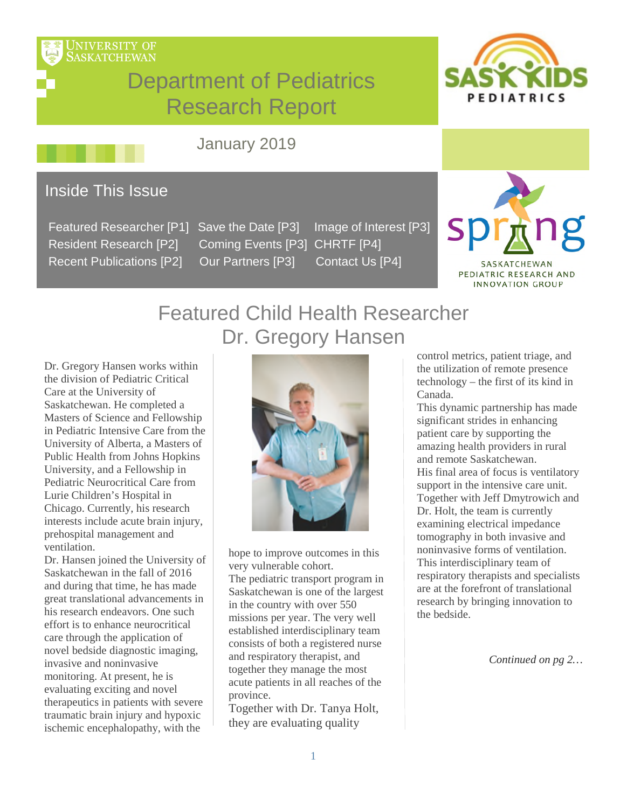

# Department of Pediatrics Research Report



## January 2019

### Inside This Issue

 Featured Researcher [P1] Save the Date [P3] Image of Interest [P3] Resident Research [P2] Coming Events [P3] CHRTF [P4] Recent Publications [P2] Our Partners [P3] Contact Us [P4]



PEDIATRIC RESEARCH AND **INNOVATION GROUP** 

## Featured Child Health Researcher Dr. Gregory Hansen

Dr. Gregory Hansen works within the division of Pediatric Critical Care at the University of Saskatchewan. He completed a Masters of Science and Fellowship in Pediatric Intensive Care from the University of Alberta, a Masters of Public Health from Johns Hopkins University, and a Fellowship in Pediatric Neurocritical Care from Lurie Children's Hospital in Chicago. Currently, his research interests include acute brain injury, prehospital management and ventilation.

Dr. Hansen joined the University of Saskatchewan in the fall of 2016 and during that time, he has made great translational advancements in his research endeavors. One such effort is to enhance neurocritical care through the application of novel bedside diagnostic imaging, invasive and noninvasive monitoring. At present, he is evaluating exciting and novel therapeutics in patients with severe traumatic brain injury and hypoxic ischemic encephalopathy, with the



hope to improve outcomes in this very vulnerable cohort. The pediatric transport program in Saskatchewan is one of the largest in the country with over 550 missions per year. The very well established interdisciplinary team consists of both a registered nurse and respiratory therapist, and together they manage the most acute patients in all reaches of the province.

Together with Dr. Tanya Holt, they are evaluating quality

control metrics, patient triage, and the utilization of remote presence technology – the first of its kind in Canada.

This dynamic partnership has made significant strides in enhancing patient care by supporting the amazing health providers in rural and remote Saskatchewan. His final area of focus is ventilatory support in the intensive care unit. Together with Jeff Dmytrowich and Dr. Holt, the team is currently examining electrical impedance tomography in both invasive and noninvasive forms of ventilation. This interdisciplinary team of respiratory therapists and specialists are at the forefront of translational research by bringing innovation to the bedside.

*Continued on pg 2…*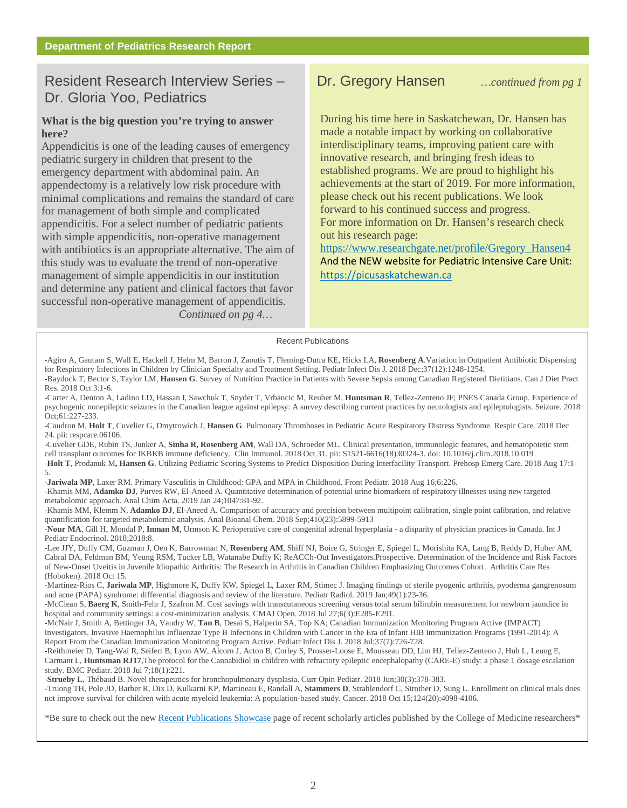### Resident Research Interview Series – Dr. Gregory Hansen *…continued from pg 1* Dr. Gloria Yoo, Pediatrics

#### **What is the big question you're trying to answer here?**

Appendicitis is one of the leading causes of emergency pediatric surgery in children that present to the emergency department with abdominal pain. An appendectomy is a relatively low risk procedure with minimal complications and remains the standard of care for management of both simple and complicated appendicitis. For a select number of pediatric patients with simple appendicitis, non-operative management with antibiotics is an appropriate alternative. The aim of this study was to evaluate the trend of non-operative management of simple appendicitis in our institution and determine any patient and clinical factors that favor successful non-operative management of appendicitis. *Continued on pg 4…*

### Dr. Gregory Hansen

During his time here in Saskatchewan, Dr. Hansen has made a notable impact by working on collaborative interdisciplinary teams, improving patient care with innovative research, and bringing fresh ideas to established programs. We are proud to highlight his achievements at the start of 2019. For more information, please check out his recent publications. We look forward to his continued success and progress. For more information on Dr. Hansen's research check out his research page:

[https://www.researchgate.net/profile/Gregory\\_Hansen4](https://www.researchgate.net/profile/Gregory_Hansen4) And the NEW website for Pediatric Intensive Care Unit: [https://picusaskatchewan.ca](https://picusaskatchewan.ca/)

#### Recent Publications

- -Agiro A, Gautam S, Wall E, Hackell J, Helm M, Barron J, Zaoutis T, Fleming-Dutra KE, Hicks LA, **Rosenberg A**.Variation in Outpatient Antibiotic Dispensing for Respiratory Infections in Children by Clinician Specialty and Treatment Setting. Pediatr Infect Dis J. 2018 Dec;37(12):1248-1254. -Baydock T, Bector S, Taylor LM, **Hansen G**. Survey of Nutrition Practice in Patients with Severe Sepsis among Canadian Registered Dietitians. Can J Diet Pract Res. 2018 Oct 3:1-6.
- -Carter A, Denton A, Ladino LD, Hassan I, Sawchuk T, Snyder T, Vrbancic M, Reuber M, **Huntsman R**, Tellez-Zenteno JF; PNES Canada Group. Experience of psychogenic nonepileptic seizures in the Canadian league against epilepsy: A survey describing current practices by neurologists and epileptologists. Seizure. 2018 Oct;61:227-233.
- -Caudron M, **Holt T**, Cuvelier G, Dmytrowich J, **Hansen G**. Pulmonary Thromboses in Pediatric Acute Respiratory Distress Syndrome. Respir Care. 2018 Dec 24. pii: respcare.06106.
- -Cuvelier GDE, Rubin TS, Junker A, **Sinha R, Rosenberg AM**, Wall DA, Schroeder ML. Clinical presentation, immunologic features, and hematopoietic stem cell transplant outcomes for IKBKB immune deficiency. Clin Immunol. 2018 Oct 31. pii: S1521-6616(18)30324-3. doi: 10.1016/j.clim.2018.10.019 -**Holt T**, Prodanuk M**, Hansen G**. Utilizing Pediatric Scoring Systems to Predict Disposition During Interfacility Transport. Prehosp Emerg Care. 2018 Aug 17:1- 5.

-**Jariwala MP**, Laxer RM. Primary Vasculitis in Childhood: GPA and MPA in Childhood. Front Pediatr. 2018 Aug 16;6:226.

-Khamis MM, **Adamko DJ**, Purves RW, El-Aneed A. Quantitative determination of potential urine biomarkers of respiratory illnesses using new targeted metabolomic approach. Anal Chim Acta. 2019 Jan 24;1047:81-92.

-Khamis MM, Klemm N, **Adamko DJ**, El-Aneed A. Comparison of accuracy and precision between multipoint calibration, single point calibration, and relative quantification for targeted metabolomic analysis. Anal Bioanal Chem. 2018 Sep;410(23):5899-5913

-**Nour MA**, Gill H, Mondal P, **Inman M**, Urmson K. Perioperative care of congenital adrenal hyperplasia - a disparity of physician practices in Canada. Int J Pediatr Endocrinol. 2018;2018:8.

-Lee JJY, Duffy CM, Guzman J, Oen K, Barrowman N, **Rosenberg AM**, Shiff NJ, Boire G, Stringer E, Spiegel L, Morishita KA, Lang B, Reddy D, Huber AM, Cabral DA, Feldman BM, Yeung RSM, Tucker LB, Watanabe Duffy K; ReACCh-Out Investigators.Prospective. Determination of the Incidence and Risk Factors of New-Onset Uveitis in Juvenile Idiopathic Arthritis: The Research in Arthritis in Canadian Children Emphasizing Outcomes Cohort. Arthritis Care Res (Hoboken). 2018 Oct 15.

-Martinez-Rios C, **Jariwala MP**, Highmore K, Duffy KW, Spiegel L, Laxer RM, Stimec J. Imaging findings of sterile pyogenic arthritis, pyoderma gangrenosum and acne (PAPA) syndrome: differential diagnosis and review of the literature. Pediatr Radiol. 2019 Jan;49(1):23-36.

-McClean S, **Baerg K**, Smith-Fehr J, Szafron M. Cost savings with transcutaneous screening versus total serum bilirubin measurement for newborn jaundice in hospital and community settings: a cost-minimization analysis. CMAJ Open. 2018 Jul 27;6(3):E285-E291.

-McNair J, Smith A, Bettinger JA, Vaudry W, **Tan B**, Desai S, Halperin SA, Top KA; Canadian Immunization Monitoring Program Active (IMPACT) Investigators. Invasive Haemophilus Influenzae Type B Infections in Children with Cancer in the Era of Infant HIB Immunization Programs (1991-2014): A Report From the Canadian Immunization Monitoring Program Active. Pediatr Infect Dis J. 2018 Jul;37(7):726-728.

-Reithmeier D, Tang-Wai R, Seifert B, Lyon AW, Alcorn J, Acton B, Corley S, Prosser-Loose E, Mousseau DD, Lim HJ, Tellez-Zenteno J, Huh L, Leung E, Carmant L, **Huntsman RJ17**,The protocol for the Cannabidiol in children with refractory epileptic encephalopathy (CARE-E) study: a phase 1 dosage escalation study. BMC Pediatr. 2018 Jul 7;18(1):221.

-**Strueby L**, Thébaud B. Novel therapeutics for bronchopulmonary dysplasia. Curr Opin Pediatr. 2018 Jun;30(3):378-383.

-Truong TH, Pole JD, Barber R, Dix D, Kulkarni KP, Martineau E, Randall A, **Stammers D**, Strahlendorf C, Strother D, Sung L. Enrollment on clinical trials does not improve survival for children with acute myeloid leukemia: A population-based study. Cancer. 2018 Oct 15;124(20):4098-4106.

\*Be sure to check out the ne[w Recent Publications Showcase p](https://medicine.usask.ca/research/publications.php#RecentPublicationsShowcase)age of recent scholarly articles published by the College of Medicine researchers\*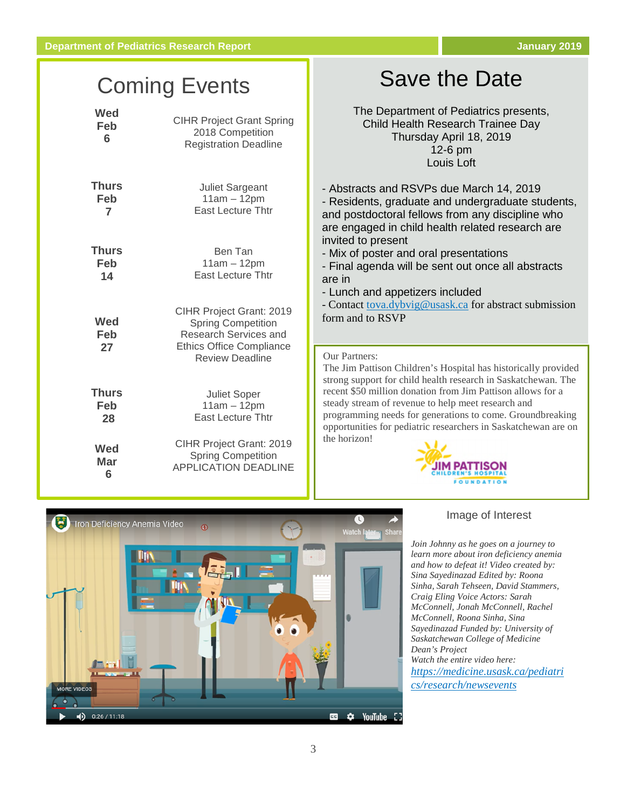## Coming Events

| Wed              | <b>CIHR Project Grant Spring</b>                                                                                                                   |
|------------------|----------------------------------------------------------------------------------------------------------------------------------------------------|
| Feb              | 2018 Competition                                                                                                                                   |
| 6                | <b>Registration Deadline</b>                                                                                                                       |
| <b>Thurs</b>     | <b>Juliet Sargeant</b>                                                                                                                             |
| Feb              | $11am - 12pm$                                                                                                                                      |
| 7                | <b>East Lecture Thtr</b>                                                                                                                           |
| <b>Thurs</b>     | Ben Tan                                                                                                                                            |
| Feb              | $11am - 12pm$                                                                                                                                      |
| 14               | <b>East Lecture Thtr</b>                                                                                                                           |
| Wed<br>Feb<br>27 | CIHR Project Grant: 2019<br><b>Spring Competition</b><br><b>Research Services and</b><br><b>Ethics Office Compliance</b><br><b>Review Deadline</b> |
| Thurs            | <b>Juliet Soper</b>                                                                                                                                |
| Feb              | $11am - 12pm$                                                                                                                                      |
| 28               | <b>East Lecture Thtr</b>                                                                                                                           |
| <b>Wed</b>       | CIHR Project Grant: 2019                                                                                                                           |
| Mar              | <b>Spring Competition</b>                                                                                                                          |
| 6                | <b>APPLICATION DEADLINE</b>                                                                                                                        |

## Save the Date

The Department of Pediatrics presents, Child Health Research Trainee Day Thursday April 18, 2019 12-6 pm Louis Loft

- Abstracts and RSVPs due March 14, 2019

- Residents, graduate and undergraduate students, and postdoctoral fellows from any discipline who are engaged in child health related research are invited to present

- Mix of poster and oral presentations

- Final agenda will be sent out once all abstracts are in

- Lunch and appetizers included

- Contac[t tova.dybvig@usask.ca](mailto:tova.dybvig@usask.ca) for abstract submission form and to RSVP

#### Our Partners:

The Jim Pattison Children's Hospital has historically provided strong support for child health research in Saskatchewan. The recent \$50 million donation from Jim Pattison allows for a steady stream of revenue to help meet research and programming needs for generations to come. Groundbreaking opportunities for pediatric researchers in Saskatchewan are on the horizon!





#### Image of Interest

*Join Johnny as he goes on a journey to learn more about iron deficiency anemia and how to defeat it! Video created by: Sina Sayedinazad Edited by: Roona Sinha, Sarah Tehseen, David Stammers, Craig Eling Voice Actors: Sarah McConnell, Jonah McConnell, Rachel McConnell, Roona Sinha, Sina Sayedinazad Funded by: University of Saskatchewan College of Medicine Dean's Project Watch the entire video here: [https://medicine.usask.ca/pediatri](https://www.youtube.com/watch?v=KHMHHFhIHDw) [cs/research/newsevents](https://www.youtube.com/watch?v=KHMHHFhIHDw)*